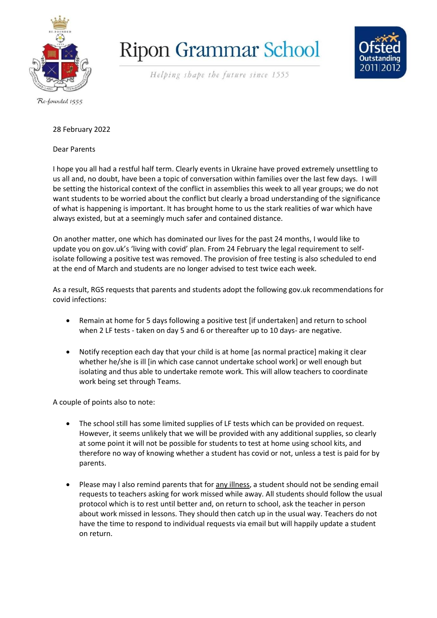

## **Ripon Grammar School**



Helping shape the future since 1555

## 28 February 2022

## Dear Parents

I hope you all had a restful half term. Clearly events in Ukraine have proved extremely unsettling to us all and, no doubt, have been a topic of conversation within families over the last few days. I will be setting the historical context of the conflict in assemblies this week to all year groups; we do not want students to be worried about the conflict but clearly a broad understanding of the significance of what is happening is important. It has brought home to us the stark realities of war which have always existed, but at a seemingly much safer and contained distance.

On another matter, one which has dominated our lives for the past 24 months, I would like to update you on gov.uk's 'living with covid' plan. From 24 February the legal requirement to selfisolate following a positive test was removed. The provision of free testing is also scheduled to end at the end of March and students are no longer advised to test twice each week.

As a result, RGS requests that parents and students adopt the following gov.uk recommendations for covid infections:

- Remain at home for 5 days following a positive test [if undertaken] and return to school when 2 LF tests - taken on day 5 and 6 or thereafter up to 10 days- are negative.
- Notify reception each day that your child is at home [as normal practice] making it clear whether he/she is ill [in which case cannot undertake school work] or well enough but isolating and thus able to undertake remote work. This will allow teachers to coordinate work being set through Teams.

A couple of points also to note:

- The school still has some limited supplies of LF tests which can be provided on request. However, it seems unlikely that we will be provided with any additional supplies, so clearly at some point it will not be possible for students to test at home using school kits, and therefore no way of knowing whether a student has covid or not, unless a test is paid for by parents.
- Please may I also remind parents that for any illness, a student should not be sending email requests to teachers asking for work missed while away. All students should follow the usual protocol which is to rest until better and, on return to school, ask the teacher in person about work missed in lessons. They should then catch up in the usual way. Teachers do not have the time to respond to individual requests via email but will happily update a student on return.